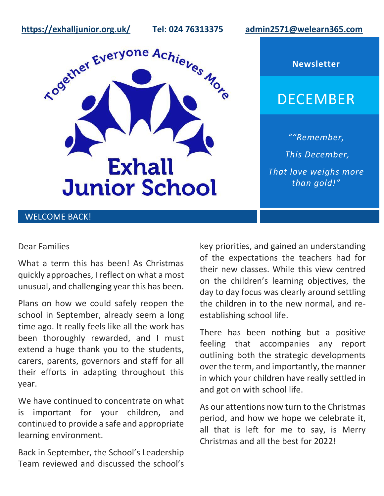**<https://exhalljunior.org.uk/>Tel: 024 76313375 [admin2571@welearn365.com](mailto:admin2571@welearn365.com)**



**Newsletter**

# DECEMBER

*""Remember, This December, That love weighs more than gold!"*

# WELCOME BACK!

#### Dear Families

What a term this has been! As Christmas quickly approaches, I reflect on what a most unusual, and challenging year this has been.

Plans on how we could safely reopen the school in September, already seem a long time ago. It really feels like all the work has been thoroughly rewarded, and I must extend a huge thank you to the students, carers, parents, governors and staff for all their efforts in adapting throughout this year.

We have continued to concentrate on what is important for your children, and continued to provide a safe and appropriate learning environment.

Back in September, the School's Leadership Team reviewed and discussed the school's

key priorities, and gained an understanding of the expectations the teachers had for their new classes. While this view centred on the children's learning objectives, the day to day focus was clearly around settling the children in to the new normal, and reestablishing school life.

There has been nothing but a positive feeling that accompanies any report outlining both the strategic developments over the term, and importantly, the manner in which your children have really settled in and got on with school life.

As our attentions now turn to the Christmas period, and how we hope we celebrate it, all that is left for me to say, is Merry Christmas and all the best for 2022!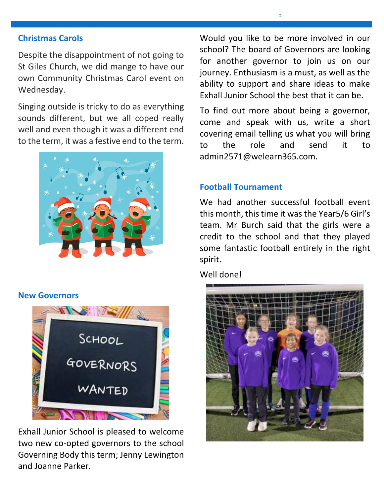#### **Christmas Carols**

Despite the disappointment of not going to St Giles Church, we did mange to have our own Community Christmas Carol event on Wednesday.

Singing outside is tricky to do as everything sounds different, but we all coped really well and even though it was a different end to the term, it was a festive end to the term.



#### **New Governors**



Exhall Junior School is pleased to welcome two new co-opted governors to the school Governing Body this term; Jenny Lewington and Joanne Parker.

Would you like to be more involved in our school? The board of Governors are looking for another governor to join us on our journey. Enthusiasm is a must, as well as the ability to support and share ideas to make Exhall Junior School the best that it can be.

To find out more about being a governor, come and speak with us, write a short covering email telling us what you will bring to the role and send it to admin2571@welearn365.com.

### **Football Tournament**

We had another successful football event this month, this time it was the Year5/6 Girl's team. Mr Burch said that the girls were a credit to the school and that they played some fantastic football entirely in the right spirit.

Well done!

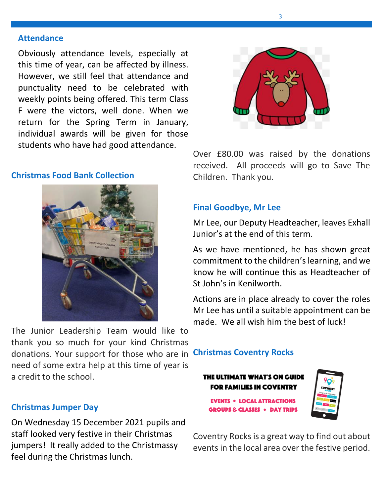#### **Attendance**

Obviously attendance levels, especially at this time of year, can be affected by illness. However, we still feel that attendance and punctuality need to be celebrated with weekly points being offered. This term Class F were the victors, well done. When we return for the Spring Term in January, individual awards will be given for those students who have had good attendance.

### **Christmas Food Bank Collection**



The Junior Leadership Team would like to thank you so much for your kind Christmas donations. Your support for those who are in **Christmas Coventry Rocks** need of some extra help at this time of year is a credit to the school.

## **Christmas Jumper Day**

On Wednesday 15 December 2021 pupils and staff looked very festive in their Christmas jumpers! It really added to the Christmassy feel during the Christmas lunch.



Over £80.00 was raised by the donations received. All proceeds will go to Save The Children. Thank you.

# **Final Goodbye, Mr Lee**

Mr Lee, our Deputy Headteacher, leaves Exhall Junior's at the end of this term.

As we have mentioned, he has shown great commitment to the children's learning, and we know he will continue this as Headteacher of St John's in Kenilworth.

Actions are in place already to cover the roles Mr Lee has until a suitable appointment can be made. We all wish him the best of luck!

#### THE ULTIMATE WHAT'S ON GUIDE **FOR FAMILIES IN COVENTRY**



**EVENTS . LOCAL ATTRACTIONS GROUPS & CLASSES . DAY TRIPS** 

Coventry Rocks is a great way to find out about events in the local area over the festive period.